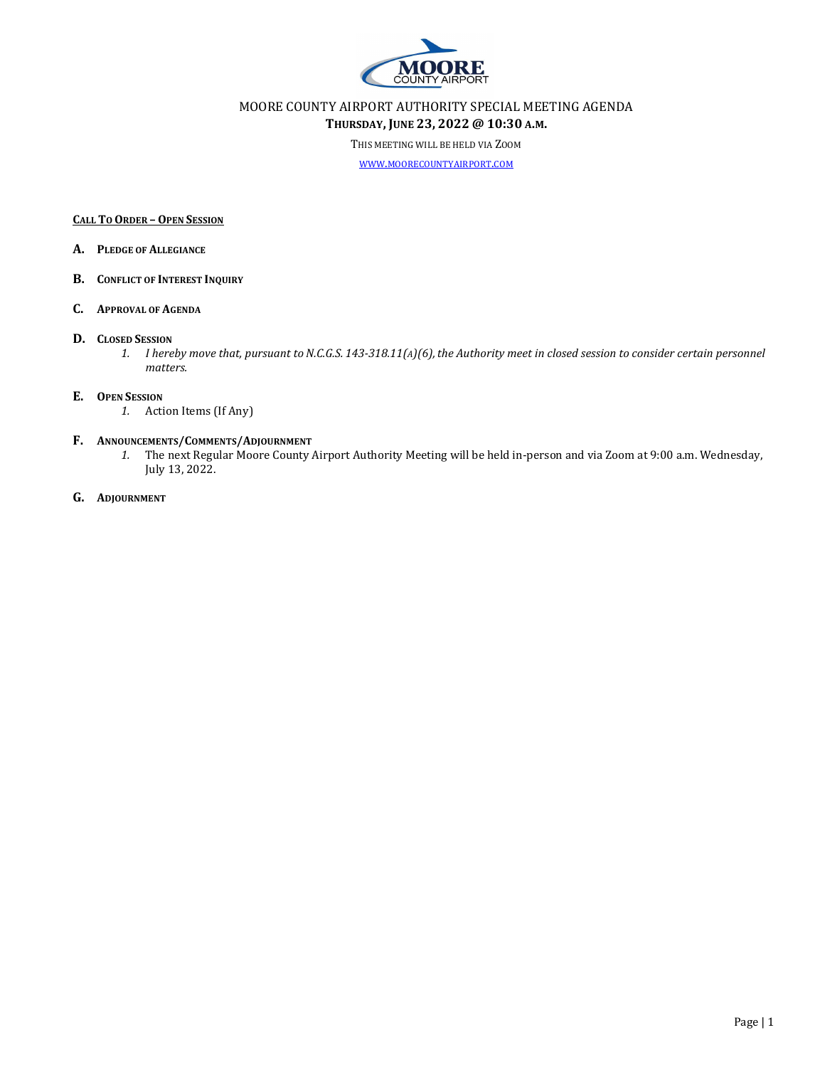

## MOORE COUNTY AIRPORT AUTHORITY SPECIAL MEETING AGENDA THURSDAY, JUNE 23, 2022 @ 10:30 A.M.

THIS MEETING WILL BE HELD VIA ZOOM

WWW.MOORECOUNTYAIRPORT.COM

#### CALL TO ORDER – OPEN SESSION

- A. PLEDGE OF ALLEGIANCE
- B. CONFLICT OF INTEREST INQUIRY

#### C. APPROVAL OF AGENDA

#### D. CLOSED SESSION

1. I hereby move that, pursuant to N.C.G.S. 143-318.11(A)(6),the Authority meet in closed session to consider certain personnel matters.

#### E. OPEN SESSION

1. Action Items (If Any)

### F. ANNOUNCEMENTS/COMMENTS/ADJOURNMENT

1. The next Regular Moore County Airport Authority Meeting will be held in-person and via Zoom at 9:00 a.m. Wednesday, July 13, 2022.

#### G. ADJOURNMENT